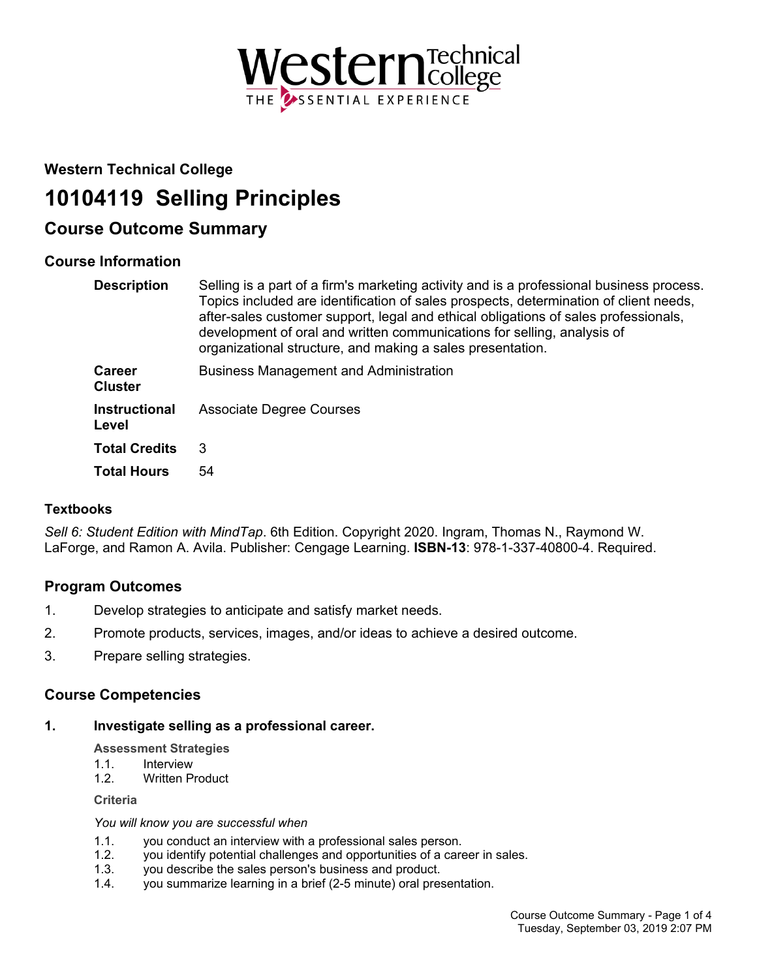

## **Western Technical College**

# **10104119 Selling Principles**

## **Course Outcome Summary**

## **Course Information**

| <b>Description</b>              | Selling is a part of a firm's marketing activity and is a professional business process.<br>Topics included are identification of sales prospects, determination of client needs,<br>after-sales customer support, legal and ethical obligations of sales professionals,<br>development of oral and written communications for selling, analysis of<br>organizational structure, and making a sales presentation. |
|---------------------------------|-------------------------------------------------------------------------------------------------------------------------------------------------------------------------------------------------------------------------------------------------------------------------------------------------------------------------------------------------------------------------------------------------------------------|
| <b>Career</b><br><b>Cluster</b> | <b>Business Management and Administration</b>                                                                                                                                                                                                                                                                                                                                                                     |
| <b>Instructional</b><br>Level   | <b>Associate Degree Courses</b>                                                                                                                                                                                                                                                                                                                                                                                   |
| <b>Total Credits</b>            | 3                                                                                                                                                                                                                                                                                                                                                                                                                 |
| <b>Total Hours</b>              | 54                                                                                                                                                                                                                                                                                                                                                                                                                |

## **Textbooks**

*Sell 6: Student Edition with MindTap*. 6th Edition. Copyright 2020. Ingram, Thomas N., Raymond W. LaForge, and Ramon A. Avila. Publisher: Cengage Learning. **ISBN-13**: 978-1-337-40800-4. Required.

## **Program Outcomes**

- 1. Develop strategies to anticipate and satisfy market needs.
- 2. Promote products, services, images, and/or ideas to achieve a desired outcome.
- 3. Prepare selling strategies.

## **Course Competencies**

**1. Investigate selling as a professional career.**

**Assessment Strategies**

- 1.1. Interview
- 1.2. Written Product

**Criteria**

*You will know you are successful when*

- 1.1. you conduct an interview with a professional sales person.
- 1.2. you identify potential challenges and opportunities of a career in sales.
- 1.3. you describe the sales person's business and product.
- 1.4. you summarize learning in a brief (2-5 minute) oral presentation.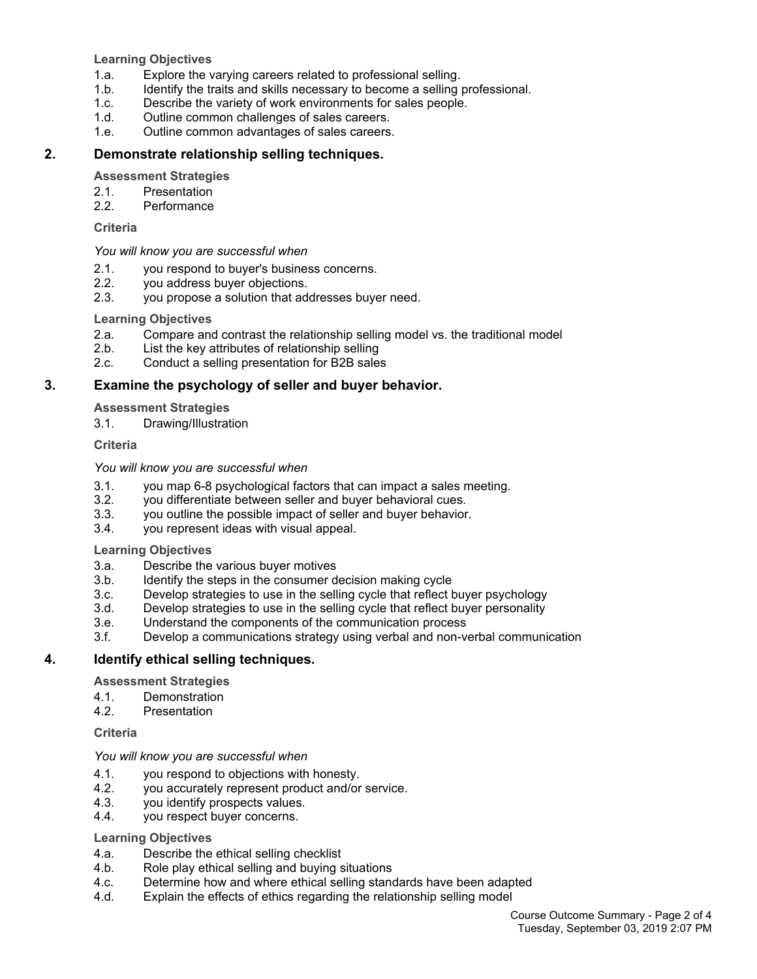**Learning Objectives**

- 1.a. Explore the varying careers related to professional selling.
- 1.b. Identify the traits and skills necessary to become a selling professional.
- 1.c. Describe the variety of work environments for sales people.
- 1.d. Outline common challenges of sales careers.
- 1.e. Outline common advantages of sales careers.

#### **2. Demonstrate relationship selling techniques.**

#### **Assessment Strategies**

- 2.1. Presentation
- 2.2. Performance

#### **Criteria**

#### *You will know you are successful when*

- 2.1. you respond to buyer's business concerns.
- 2.2. you address buyer objections.
- 2.3. you propose a solution that addresses buyer need.

#### **Learning Objectives**

- 2.a. Compare and contrast the relationship selling model vs. the traditional model
- 2.b. List the key attributes of relationship selling
- 2.c. Conduct a selling presentation for B2B sales

#### **3. Examine the psychology of seller and buyer behavior.**

#### **Assessment Strategies**

3.1. Drawing/Illustration

#### **Criteria**

#### *You will know you are successful when*

- 3.1. you map 6-8 psychological factors that can impact a sales meeting.
- 3.2. you differentiate between seller and buyer behavioral cues.
- 3.3. you outline the possible impact of seller and buyer behavior.
- 3.4. you represent ideas with visual appeal.

#### **Learning Objectives**

- 3.a. Describe the various buyer motives
- 3.b. Identify the steps in the consumer decision making cycle
- 3.c. Develop strategies to use in the selling cycle that reflect buyer psychology
- 3.d. Develop strategies to use in the selling cycle that reflect buyer personality
- 3.e. Understand the components of the communication process
- 3.f. Develop a communications strategy using verbal and non-verbal communication

#### **4. Identify ethical selling techniques.**

#### **Assessment Strategies**

- 4.1. Demonstration
- 4.2. Presentation

#### **Criteria**

#### *You will know you are successful when*

- 4.1. you respond to objections with honesty.<br>4.2. vou accurately represent product and/or
- 4.2. you accurately represent product and/or service.<br>4.3. vou identify prospects values.
- you identify prospects values.
- 4.4. you respect buyer concerns.

#### **Learning Objectives**

- 4.a. Describe the ethical selling checklist
- 4.b. Role play ethical selling and buying situations
- 4.c. Determine how and where ethical selling standards have been adapted
- 4.d. Explain the effects of ethics regarding the relationship selling model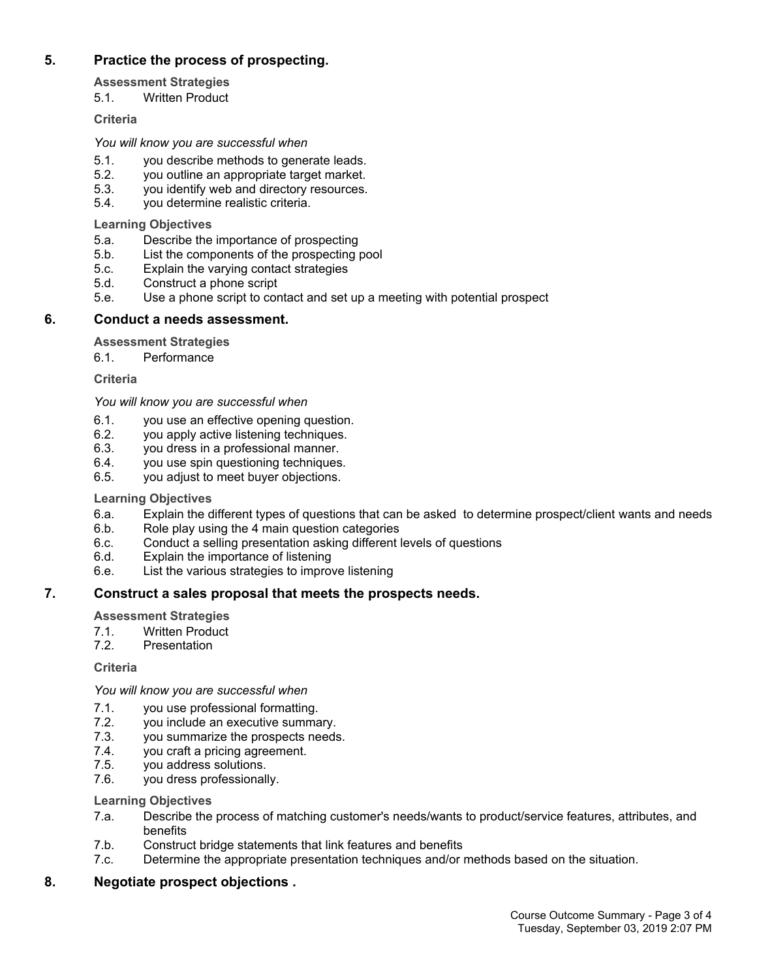## **5. Practice the process of prospecting.**

**Assessment Strategies**

5.1. Written Product

#### **Criteria**

*You will know you are successful when*

- 5.1. you describe methods to generate leads.
- 5.2. you outline an appropriate target market.
- 5.3. you identify web and directory resources.
- 5.4. you determine realistic criteria.

**Learning Objectives**

- 5.a. Describe the importance of prospecting<br>5.b. List the components of the prospecting
- List the components of the prospecting pool
- 5.c. Explain the varying contact strategies
- 5.d. Construct a phone script
- 5.e. Use a phone script to contact and set up a meeting with potential prospect

## **6. Conduct a needs assessment.**

#### **Assessment Strategies**

6.1. Performance

#### **Criteria**

*You will know you are successful when*

- 6.1. you use an effective opening question.
- 6.2. you apply active listening techniques.
- 6.3. you dress in a professional manner.
- 6.4. you use spin questioning techniques.
- 6.5. you adjust to meet buyer objections.

#### **Learning Objectives**

- 6.a. Explain the different types of questions that can be asked to determine prospect/client wants and needs
- 6.b. Role play using the 4 main question categories
- 6.c. Conduct a selling presentation asking different levels of questions
- 6.d. Explain the importance of listening
- 6.e. List the various strategies to improve listening

## **7. Construct a sales proposal that meets the prospects needs.**

**Assessment Strategies**

- 7.1. Written Product<br>7.2. Presentation
- **Presentation**

**Criteria**

*You will know you are successful when*

- 7.1. you use professional formatting.
- 7.2. you include an executive summary.<br>7.3. vou summarize the prospects needs
- you summarize the prospects needs.
- 7.4. you craft a pricing agreement.
- 7.5. you address solutions.
- 7.6. you dress professionally.

#### **Learning Objectives**

- 7.a. Describe the process of matching customer's needs/wants to product/service features, attributes, and benefits
- 7.b. Construct bridge statements that link features and benefits
- 7.c. Determine the appropriate presentation techniques and/or methods based on the situation.

## **8. Negotiate prospect objections .**